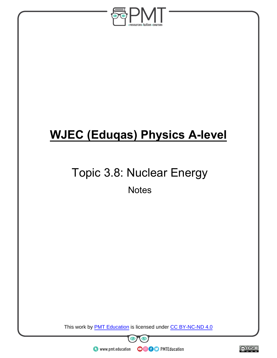

# **WJEC (Eduqas) Physics A-level**

# Topic 3.8: Nuclear Energy

**Notes** 

This work by **PMT Education** is licensed under CC BY-NC-ND 4.0



 $\bullet$  www.pmt.education

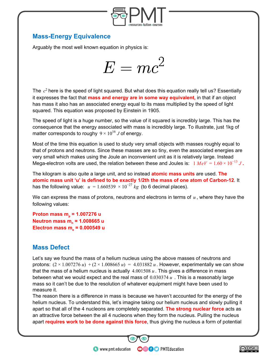

#### **Mass-Energy Equivalence**

Arguably the most well known equation in physics is:



The  $c<sup>2</sup>$  here is the speed of light squared. But what does this equation really tell us? Essentially it expresses the fact that **mass and energy are in some way equivalent,** in that if an object has mass it also has an associated energy equal to its mass multiplied by the speed of light squared. This equation was proposed by Einstein in 1905.

The speed of light is a huge number, so the value of it squared is incredibly large. This has the consequence that the energy associated with mass is incredibly large. To illustrate, just 1kg of matter corresponds to roughy  $9 \times 10^{16} J$  of energy.

Most of the time this equation is used to study very small objects with masses roughly equal to that of protons and neutrons. Since these masses are so tiny, even the associated energies are very small which makes using the Joule an inconvenient unit as it is relatively large. Instead Mega-electron volts are used, the relation between these and Joules is:  $1 MeV = 1.60 \times 10^{-13} J$ .

The kilogram is also quite a large unit, and so instead **atomic mass units** are used. **The atomic mass unit 'u' is defined to be exactly 1/2th the mass of one atom of Carbon-12**. It has the following value:  $u = 1.660539 \times 10^{-27}$  kg (to 6 decimal places).

We can express the mass of protons, neutrons and electrons in terms of  $u$ , where they have the following values:

**Proton mass m<sup>p</sup> = 1.007276 u Neutron mass m<sup>n</sup> = 1.008665 u Electron mass m<sup>e</sup> = 0.000549 u**

#### **Mass Defect**

Let's say we found the mass of a helium nucleus using the above masses of neutrons and protons:  $(2 \times 1.007276 u) + (2 \times 1.008665 u) = 4.031882 u$ . However, experimentally we can show that the mass of a helium nucleus is actually  $4.001508 u$ . This gives a difference in mass between what we would expect and the real mass of 0.030374 *u* . This is a reasonably large mass so it can't be due to the resolution of whatever equipment might have been used to measure it.

The reason there is a difference in mass is because we haven't accounted for the energy of the helium nucleus. To understand this, let's imagine taking our helium nucleus and slowly pulling it apart so that all of the 4 nucleons are completely separated. **The strong nuclear force** acts as an attractive force between the all 4 nucleons when they form the nucleus. Pulling the nucleus apart **requires work to be done against this force**, thus giving the nucleus a form of potential

**OOOO** PMTEducation

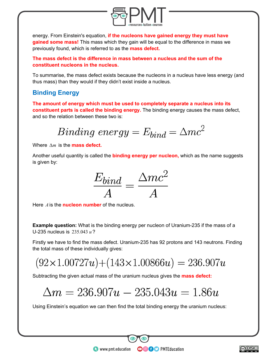

energy. From Einstein's equation, **if the nucleons have gained energy they must have gained some mass!** This mass which they gain will be equal to the difference in mass we previously found, which is referred to as the **mass defect.**

**The mass defect is the difference in mass between a nucleus and the sum of the constituent nucleons in the nucleus.**

To summarise, the mass defect exists because the nucleons in a nucleus have less energy (and thus mass) than they would if they didn't exist inside a nucleus.

### **Binding Energy**

**The amount of energy which must be used to completely separate a nucleus into its constituent parts is called the binding energy.** The binding energy causes the mass defect, and so the relation between these two is:

$$
Binding\ energy = E_{bind} = \Delta mc^2
$$

Where  $\Delta m$  is the **mass defect.** 

Another useful quantity is called the **binding energy per nucleon,** which as the name suggests is given by:



Here  $\vec{A}$  is the **nucleon number** of the nucleus.

**Example question:** What is the binding energy per nucleon of Uranium-235 if the mass of a U-235 nucleus is 235.043 *u*?

Firstly we have to find the mass defect. Uranium-235 has 92 protons and 143 neutrons. Finding the total mass of these individually gives:

 $(92 \times 1.00727u) + (143 \times 1.00866u) = 236.907u$ 

Subtracting the given actual mass of the uranium nucleus gives the **mass defect:**

### $\Delta m = 236.907u - 235.043u = 1.86u$

Using Einstein's equation we can then find the total binding energy the uranium nucleus:

**OOOO** PMTEducation

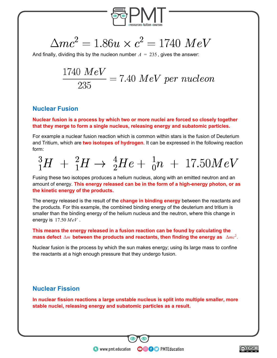

$$
\Delta mc^2 = 1.86u \times c^2 = 1740 \; MeV
$$

And finally, dividing this by the nucleon number  $A = 235$ , gives the answer:

$$
\frac{1740\;MeV}{235}=7.40\;MeV\;per\;nucleon
$$

#### **Nuclear Fusion**

#### **Nuclear fusion is a process by which two or more nuclei are forced so closely together that they merge to form a single nucleus, releasing energy and subatomic particles.**

For example a nuclear fusion reaction which is common within stars is the fusion of Deuterium and Tritium, which are **two isotopes of hydrogen**. It can be expressed in the following reaction form:

$$
{}_{1}^{3}H + {}_{1}^{2}H \rightarrow {}_{2}^{4}He + {}_{0}^{1}n + 17.50MeV
$$

Fusing these two isotopes produces a helium nucleus, along with an emitted neutron and an amount of energy. **This energy released can be in the form of a high-energy photon, or as the kinetic energy of the products.**

The energy released is the result of the **change in binding energy** between the reactants and the products. For this example, the combined binding energy of the deuterium and tritium is smaller than the binding energy of the helium nucleus and the neutron, where this change in energy is 17.50 *MeV* .

#### **This means the energy released in a fusion reaction can be found by calculating the** mass defect  $\Delta m$  between the products and reactants, then finding the energy as  $\Delta mc^2$ .

Nuclear fusion is the process by which the sun makes energy; using its large mass to confine the reactants at a high enough pressure that they undergo fusion.

#### **Nuclear Fission**

**In nuclear fission reactions a large unstable nucleus is split into multiple smaller, more stable nuclei, releasing energy and subatomic particles as a result.**

**OOOO** PMTEducation

**html** www.pmt.education

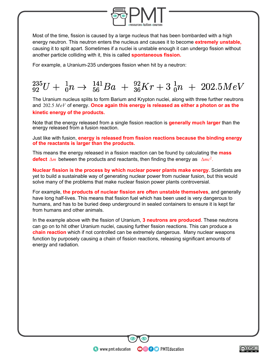

Most of the time, fission is caused by a large nucleus that has been bombarded with a high energy neutron. This neutron enters the nucleus and causes it to become **extremely unstable,** causing it to split apart. Sometimes if a nuclei is unstable enough it can undergo fission without another particle colliding with it, this is called **spontaneous fission.**

For example, a Uranium-235 undergoes fission when hit by a neutron:

## $^{235}_{92}U + ^{1}_{0}n \rightarrow ^{141}_{56}Ba + ^{92}_{36}Kr + 3^{1}_{0}n + 202.5MeV$

The Uranium nucleus splits to form Barium and Krypton nuclei, along with three further neutrons and 202.5 *MeV* of energy. **Once again this energy is released as either a photon or as the kinetic energy of the products.**

Note that the energy released from a single fission reaction is **generally much larger** than the energy released from a fusion reaction.

Just like with fusion, **energy is released from fission reactions because the binding energy of the reactants is larger than the products.** 

This means the energy released in a fission reaction can be found by calculating the **mass defect** Δ*m* between the products and reactants, then finding the energy asΔ*mc*<sup>2</sup> .

**Nuclear fission is the process by which nuclear power plants make energy.** Scientists are yet to build a sustainable way of generating nuclear power from nuclear fusion, but this would solve many of the problems that make nuclear fission power plants controversial.

For example, **the products of nuclear fission are often unstable themselves**, and generally have long half-lives. This means that fission fuel which has been used is very dangerous to humans, and has to be buried deep underground in sealed containers to ensure it is kept far from humans and other animals.

In the example above with the fission of Uranium, **3 neutrons are produced**. These neutrons can go on to hit other Uranium nuclei, causing further fission reactions. This can produce a **chain reaction** which if not controlled can be extremely dangerous. Many nuclear weapons function by purposely causing a chain of fission reactions, releasing significant amounts of energy and radiation.

**OOOO** PMTEducation

 $\bullet$  www.pmt.education